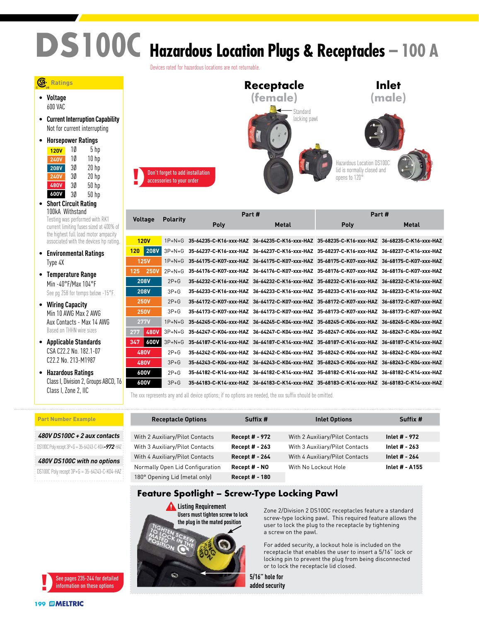# **DS100C Hazardous Location Plugs & Receptacles – 100 A**

Devices rated for hazardous locations are not returnable.

#### **Ratings**

• **Voltage** 600 VAC

• **Current Interruption Capability** Not for current interrupting

| Horsepower Ratings |    |                  |  |
|--------------------|----|------------------|--|
| <b>120V</b>        | 10 | 5 <sub>hp</sub>  |  |
| <b>240V</b>        | 10 | 10 <sub>hp</sub> |  |
| <b>208V</b>        | 3Ø | $20$ hp          |  |
| <b>240V</b>        | 30 | $20$ hp          |  |
| <b>480V</b>        | 3Ø | 50 hp            |  |
| 600V               | 3Ø | $50$ hp          |  |

- **Short Circuit Rating** 100kA Withstand Testing was performed with RK1 current limiting fuses sized at 400% of the highest full load motor ampacity associated with the devices hp rating.
- **Environmental Ratings** Type 4X
- **Temperature Range** Min -40°F/Max 104°F See pg 258 for temps below -15°F.
- **Wiring Capacity** Min 10 AWG Max 2 AWG Aux Contacts - Max 14 AWG Based on THHN wire sizes
- **Applicable Standards** CSA C22.2 No. 182.1-07 C22.2 No. 213-M1987

• **Hazardous Ratings** Class I, Division 2, Groups ABCD, T6 Class I, Zone 2, IIC



|                    |                 | Part #                 |       | Part#                                                                                       |              |
|--------------------|-----------------|------------------------|-------|---------------------------------------------------------------------------------------------|--------------|
| <b>Voltage</b>     | <b>Polarity</b> | Poly                   | Metal | Poly                                                                                        | <b>Metal</b> |
|                    |                 |                        |       |                                                                                             |              |
| <b>120V</b>        | $1P+N+G$        |                        |       | 35-64235-C-K16-xxx-HAZ 36-64235-C-K16-xxx-HAZ 35-68235-C-K16-xxx-HAZ 36-68235-C-K16-xxx-HAZ |              |
| <b>208V</b><br>120 | $3P+N+G$        |                        |       | 35-64237-C-K16-xxx-HAZ 36-64237-C-K16-xxx-HAZ 35-68237-C-K16-xxx-HAZ 36-68237-C-K16-xxx-HAZ |              |
| <b>125V</b>        | $1P+N+G$        |                        |       | 35-64175-C-K07-xxx-HAZ 36-64175-C-K07-xxx-HAZ 35-68175-C-K07-xxx-HAZ 36-68175-C-K07-xxx-HAZ |              |
| 250V<br>125        | $2P+N+G$        |                        |       | 35-64176-C-K07-xxx-HAZ 36-64176-C-K07-xxx-HAZ 35-68176-C-K07-xxx-HAZ 36-68176-C-K07-xxx-HAZ |              |
| <b>208V</b>        | $2P + G$        |                        |       | 35-64232-C-K16-xxx-HAZ 36-64232-C-K16-xxx-HAZ 35-68232-C-K16-xxx-HAZ 36-68232-C-K16-xxx-HAZ |              |
| <b>208V</b>        | $3P+G$          | 35-64233-C-K16-xxx-HAZ |       | 36-64233-C-K16-xxx-HAZ 35-68233-C-K16-xxx-HAZ 36-68233-C-K16-xxx-HAZ                        |              |
| <b>250V</b>        | $2P+G$          |                        |       | 35-64172-C-K07-xxx-HAZ 36-64172-C-K07-xxx-HAZ 35-68172-C-K07-xxx-HAZ 36-68172-C-K07-xxx-HAZ |              |
| <b>250V</b>        | $3P + G$        |                        |       | 35-64173-C-K07-xxx-HAZ 36-64173-C-K07-xxx-HAZ 35-68173-C-K07-xxx-HAZ 36-68173-C-K07-xxx-HAZ |              |
| <b>277V</b>        | $1P+N+G$        |                        |       | 35-64245-C-K04-xxx-HAZ 36-64245-C-K04-xxx-HAZ 35-68245-C-K04-xxx-HAZ 36-68245-C-K04-xxx-HAZ |              |
| 480V<br>277        | $3P+N+G$        |                        |       | 35-64247-C-K04-xxx-HAZ 36-64247-C-K04-xxx-HAZ 35-68247-C-K04-xxx-HAZ 36-68247-C-K04-xxx-HAZ |              |
| <b>600V</b><br>347 | $3P+N+G$        |                        |       | 35-64187-C-K14-xxx-HAZ 36-64187-C-K14-xxx-HAZ 35-68187-C-K14-xxx-HAZ 36-68187-C-K14-xxx-HAZ |              |
| 480V               | $2P+G$          |                        |       | 35-64242-C-K04-xxx-HAZ 36-64242-C-K04-xxx-HAZ 35-68242-C-K04-xxx-HAZ 36-68242-C-K04-xxx-HAZ |              |
| 480V               | $3P+G$          |                        |       | 35-64243-C-K04-xxx-HAZ 36-64243-C-K04-xxx-HAZ 35-68243-C-K04-xxx-HAZ 36-68243-C-K04-xxx-HAZ |              |
| 600V               | $2P+G$          | 35-64182-C-K14-xxx-HAZ |       | 36-64182-C-K14-xxx-HAZ 35-68182-C-K14-xxx-HAZ 36-68182-C-K14-xxx-HAZ                        |              |
| 600V               | $3P+G$          |                        |       | 35-64183-C-K14-xxx-HAZ 36-64183-C-K14-xxx-HAZ 35-68183-C-K14-xxx-HAZ 36-68183-C-K14-xxx-HAZ |              |

The xxx represents any and all device options; if no options are needed, the xxx suffix should be omitted.

| <b>Part Number Example</b>                         | <b>Receptacle Options</b>       | Suffix #              | <b>Inlet Options</b>            | Suffix #       |
|----------------------------------------------------|---------------------------------|-----------------------|---------------------------------|----------------|
|                                                    |                                 |                       |                                 |                |
| 480V DS100C + 2 aux contacts                       | With 2 Auxiliary/Pilot Contacts | <b>Recept # - 972</b> | With 2 Auxiliary/Pilot Contacts | Inlet # - 972  |
| DS100C Poly recept $3P+G = 35-64243-C-K04-972-H4Z$ | With 3 Auxiliary/Pilot Contacts | <b>Recept # - 263</b> | With 3 Auxiliary/Pilot Contacts | Inlet # - 263  |
| 480V DS100C with no options                        | With 4 Auxiliary/Pilot Contacts | Recept # - 264        | With 4 Auxiliary/Pilot Contacts | Inlet # - 264  |
|                                                    | Normally Open Lid Configuration | Recept # - NO         | With No Lockout Hole            | Inlet # - A155 |
| DS100C Poly recept $3P+G = 35-64243-C-K04-HAZ$     |                                 |                       |                                 |                |
|                                                    | 180° Opening Lid (metal only)   | Recept # - 180        |                                 |                |

#### **Feature Spotlight – Screw-Type Locking Pawl**

**Listing Requirement Users must tighten screw to lock the plug in the mated position** WARNING COM **DANGER CAUTI** 

**NOTICE** 

Zone 2/Division 2 DS100C receptacles feature a standard screw-type locking pawl. This required feature allows the user to lock the plug to the receptacle by tightening a screw on the pawl.

For added security, a lockout hole is included on the receptacle that enables the user to insert a 5/16" lock or locking pin to prevent the plug from being disconnected or to lock the receptacle lid closed.

**5/16" hole for added security**